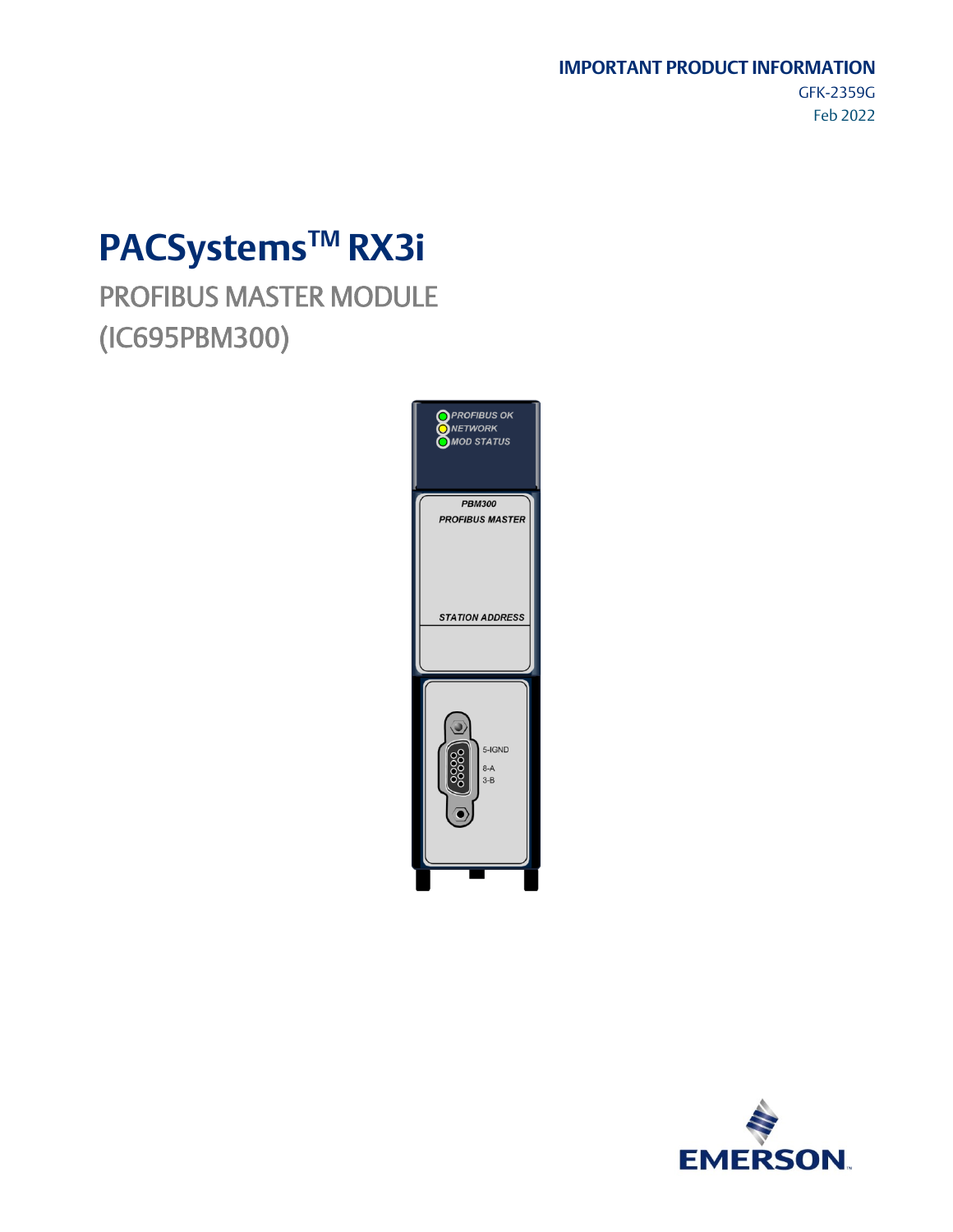#### **IMPORTANT PRODUCT INFORMATION**

GFK-2359G Feb 2022

# **PACSystemsTM RX3i**

PROFIBUS MASTER MODULE (IC695PBM300)



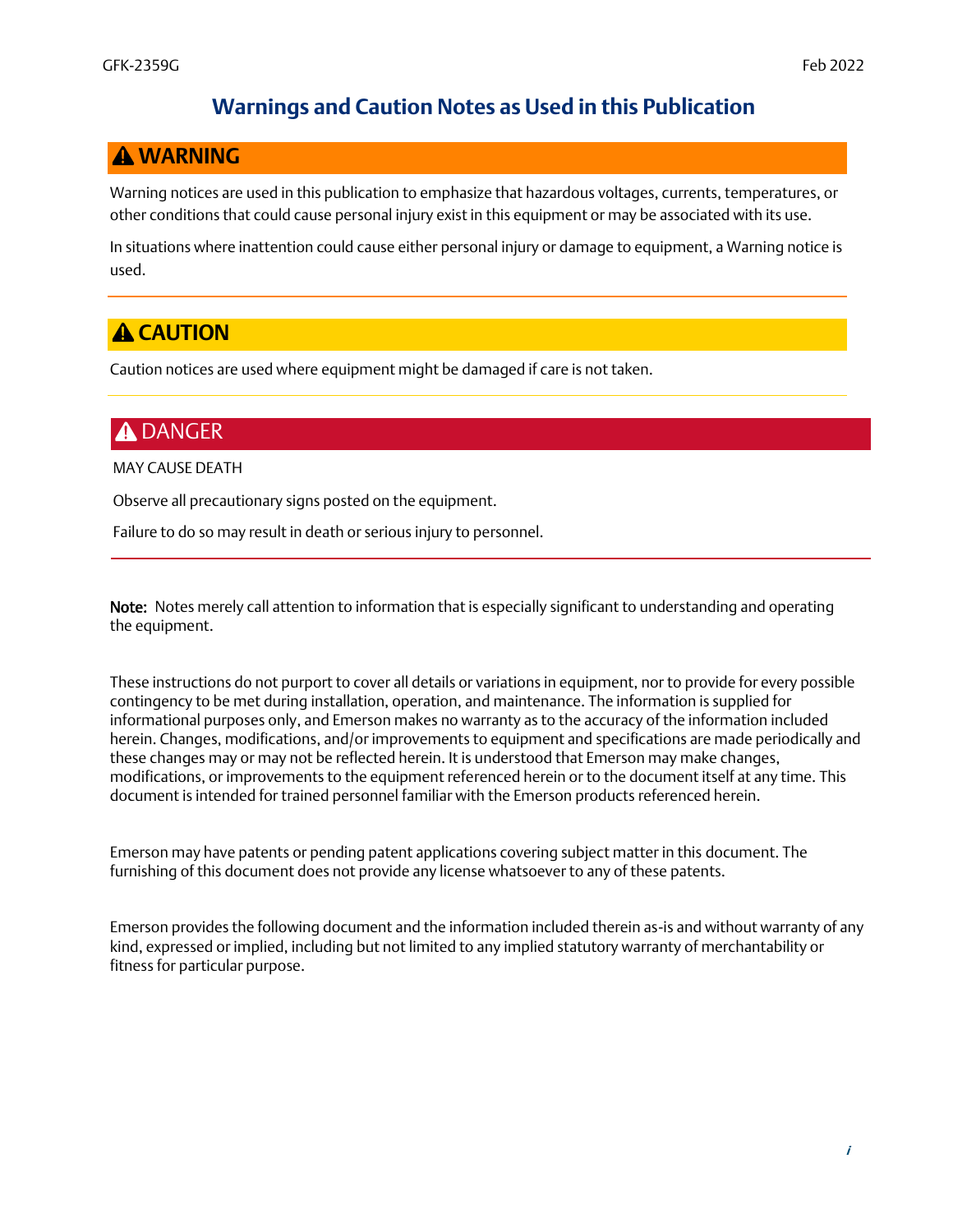### **Warnings and Caution Notes as Used in this Publication**

### *WARNING*

Warning notices are used in this publication to emphasize that hazardous voltages, currents, temperatures, or other conditions that could cause personal injury exist in this equipment or may be associated with its use.

In situations where inattention could cause either personal injury or damage to equipment, a Warning notice is used.

# **A CAUTION**

Caution notices are used where equipment might be damaged if care is not taken.

# **A DANGER**

MAY CAUSE DEATH

Observe all precautionary signs posted on the equipment.

Failure to do so may result in death or serious injury to personnel.

Note: Notes merely call attention to information that is especially significant to understanding and operating the equipment.

These instructions do not purport to cover all details or variations in equipment, nor to provide for every possible contingency to be met during installation, operation, and maintenance. The information is supplied for informational purposes only, and Emerson makes no warranty as to the accuracy of the information included herein. Changes, modifications, and/or improvements to equipment and specifications are made periodically and these changes may or may not be reflected herein. It is understood that Emerson may make changes, modifications, or improvements to the equipment referenced herein or to the document itself at any time. This document is intended for trained personnel familiar with the Emerson products referenced herein.

Emerson may have patents or pending patent applications covering subject matter in this document. The furnishing of this document does not provide any license whatsoever to any of these patents.

Emerson provides the following document and the information included therein as-is and without warranty of any kind, expressed or implied, including but not limited to any implied statutory warranty of merchantability or fitness for particular purpose.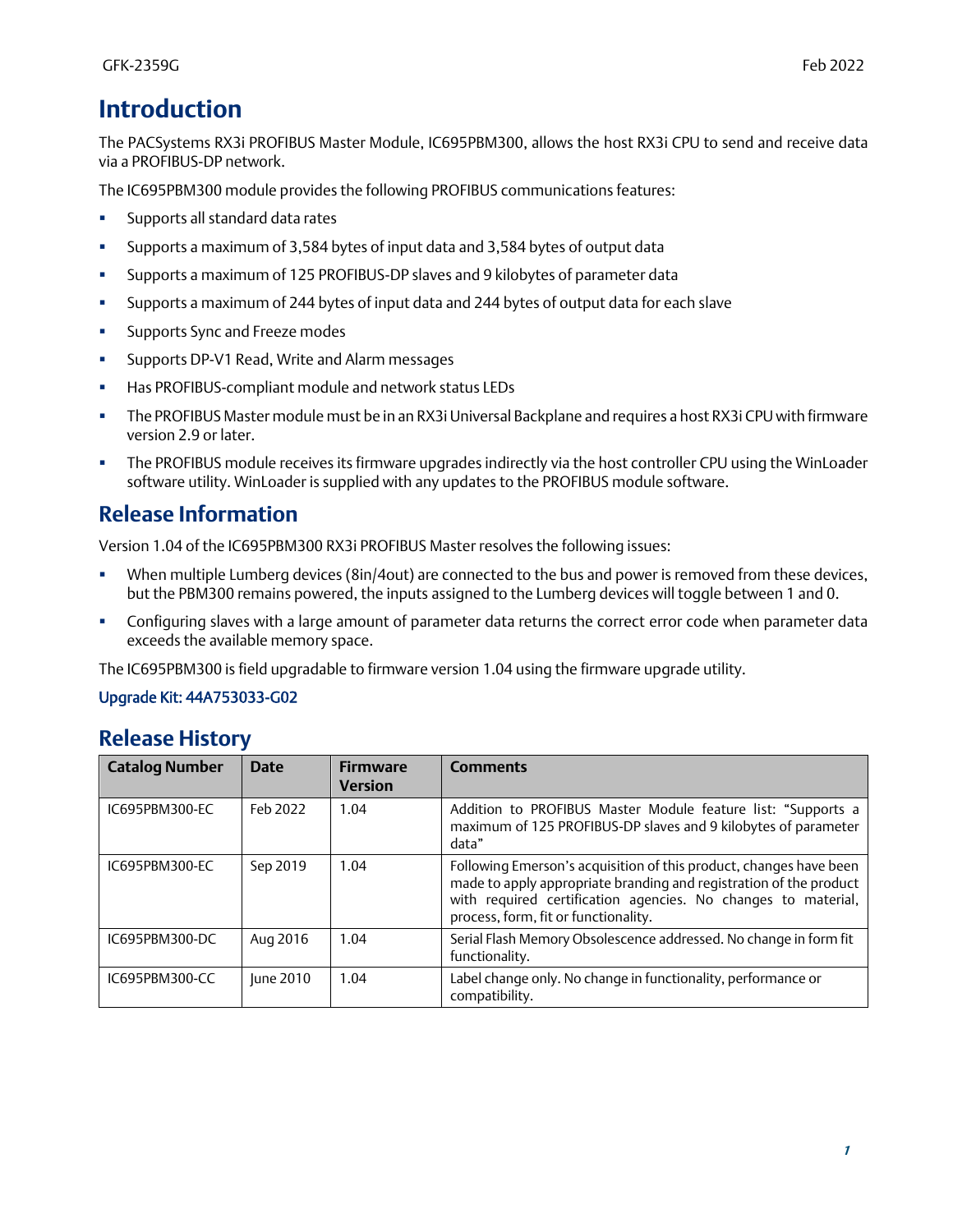The PACSystems RX3i PROFIBUS Master Module, IC695PBM300, allows the host RX3i CPU to send and receive data via a PROFIBUS-DP network.

The IC695PBM300 module provides the following PROFIBUS communications features:

- **■** Supports all standard data rates
- Supports a maximum of 3,584 bytes of input data and 3,584 bytes of output data
- Supports a maximum of 125 PROFIBUS-DP slaves and 9 kilobytes of parameter data
- Supports a maximum of 244 bytes of input data and 244 bytes of output data for each slave
- **■** Supports Sync and Freeze modes
- Supports DP-V1 Read, Write and Alarm messages
- Has PROFIBUS-compliant module and network status LEDs
- The PROFIBUS Master module must be in an RX3i Universal Backplane and requires a host RX3i CPU with firmware version 2.9 or later.
- **The PROFIBUS module receives its firmware upgrades indirectly via the host controller CPU using the WinLoader** software utility. WinLoader is supplied with any updates to the PROFIBUS module software.

# **Release Information**

Version 1.04 of the IC695PBM300 RX3i PROFIBUS Master resolves the following issues:

- **•** When multiple Lumberg devices (8in/4out) are connected to the bus and power is removed from these devices, but the PBM300 remains powered, the inputs assigned to the Lumberg devices will toggle between 1 and 0.
- **•** Configuring slaves with a large amount of parameter data returns the correct error code when parameter data exceeds the available memory space.

The IC695PBM300 is field upgradable to firmware version 1.04 using the firmware upgrade utility.

#### Upgrade Kit: 44A753033-G02

### **Release History**

| <b>Catalog Number</b> | <b>Date</b> | <b>Firmware</b><br><b>Version</b> | <b>Comments</b>                                                                                                                                                                                                                                   |
|-----------------------|-------------|-----------------------------------|---------------------------------------------------------------------------------------------------------------------------------------------------------------------------------------------------------------------------------------------------|
| IC695PBM300-EC        | Feb 2022    | 1.04                              | Addition to PROFIBUS Master Module feature list: "Supports a<br>maximum of 125 PROFIBUS-DP slaves and 9 kilobytes of parameter<br>data"                                                                                                           |
| IC695PBM300-EC        | Sep 2019    | 1.04                              | Following Emerson's acquisition of this product, changes have been<br>made to apply appropriate branding and registration of the product<br>with required certification agencies. No changes to material,<br>process, form, fit or functionality. |
| IC695PBM300-DC        | Aug 2016    | 1.04                              | Serial Flash Memory Obsolescence addressed. No change in form fit<br>functionality.                                                                                                                                                               |
| IC695PBM300-CC        | June 2010   | 1.04                              | Label change only. No change in functionality, performance or<br>compatibility.                                                                                                                                                                   |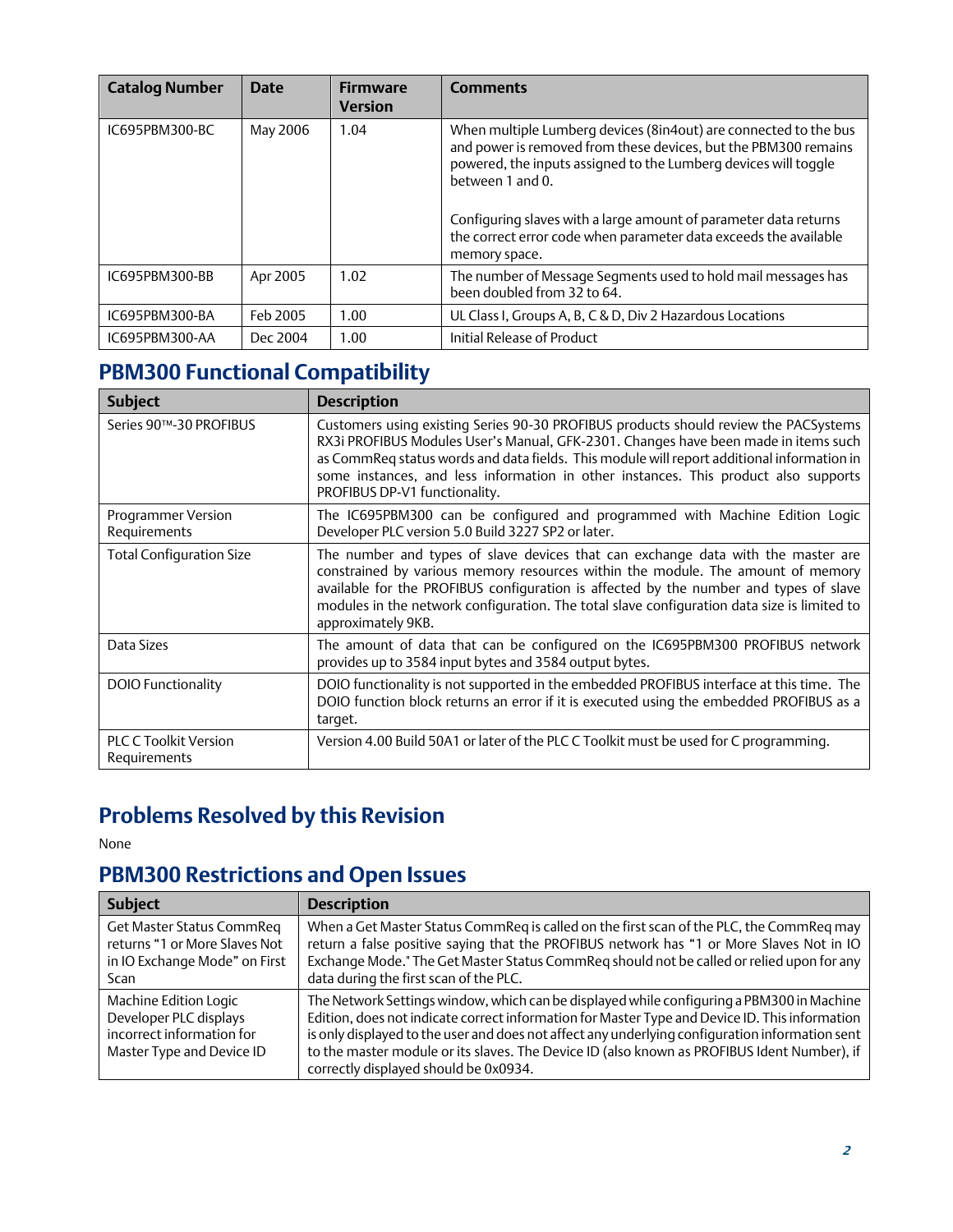| <b>Catalog Number</b> | <b>Date</b> | <b>Firmware</b><br><b>Version</b> | <b>Comments</b>                                                                                                                                                                                                                                                                                                                                                                        |
|-----------------------|-------------|-----------------------------------|----------------------------------------------------------------------------------------------------------------------------------------------------------------------------------------------------------------------------------------------------------------------------------------------------------------------------------------------------------------------------------------|
| IC695PBM300-BC        | May 2006    | 1.04                              | When multiple Lumberg devices (8in4out) are connected to the bus<br>and power is removed from these devices, but the PBM300 remains<br>powered, the inputs assigned to the Lumberg devices will toggle<br>between 1 and $0$ .<br>Configuring slaves with a large amount of parameter data returns<br>the correct error code when parameter data exceeds the available<br>memory space. |
| IC695PBM300-BB        | Apr 2005    | 1.02                              | The number of Message Segments used to hold mail messages has<br>been doubled from 32 to 64.                                                                                                                                                                                                                                                                                           |
| IC695PBM300-BA        | Feb 2005    | 1.00                              | UL Class I, Groups A, B, C & D, Div 2 Hazardous Locations                                                                                                                                                                                                                                                                                                                              |
| IC695PBM300-AA        | Dec 2004    | 1.00                              | Initial Release of Product                                                                                                                                                                                                                                                                                                                                                             |

# **PBM300 Functional Compatibility**

| <b>Subject</b>                               | <b>Description</b>                                                                                                                                                                                                                                                                                                                                                                                |
|----------------------------------------------|---------------------------------------------------------------------------------------------------------------------------------------------------------------------------------------------------------------------------------------------------------------------------------------------------------------------------------------------------------------------------------------------------|
| Series 90™-30 PROFIBUS                       | Customers using existing Series 90-30 PROFIBUS products should review the PACSystems<br>RX3i PROFIBUS Modules User's Manual, GFK-2301. Changes have been made in items such<br>as CommReq status words and data fields. This module will report additional information in<br>some instances, and less information in other instances. This product also supports<br>PROFIBUS DP-V1 functionality. |
| Programmer Version<br>Requirements           | The IC695PBM300 can be configured and programmed with Machine Edition Logic<br>Developer PLC version 5.0 Build 3227 SP2 or later.                                                                                                                                                                                                                                                                 |
| <b>Total Configuration Size</b>              | The number and types of slave devices that can exchange data with the master are<br>constrained by various memory resources within the module. The amount of memory<br>available for the PROFIBUS configuration is affected by the number and types of slave<br>modules in the network configuration. The total slave configuration data size is limited to<br>approximately 9KB.                 |
| Data Sizes                                   | The amount of data that can be configured on the IC695PBM300 PROFIBUS network<br>provides up to 3584 input bytes and 3584 output bytes.                                                                                                                                                                                                                                                           |
| <b>DOIO Functionality</b>                    | DOIO functionality is not supported in the embedded PROFIBUS interface at this time. The<br>DOIO function block returns an error if it is executed using the embedded PROFIBUS as a<br>target.                                                                                                                                                                                                    |
| <b>PLC C Toolkit Version</b><br>Requirements | Version 4.00 Build 50A1 or later of the PLC C Toolkit must be used for C programming.                                                                                                                                                                                                                                                                                                             |

# **Problems Resolved by this Revision**

None

# **PBM300 Restrictions and Open Issues**

| <b>Subject</b>                                                                                             | <b>Description</b>                                                                                                                                                                                                                                                                                                                                                                                                                     |
|------------------------------------------------------------------------------------------------------------|----------------------------------------------------------------------------------------------------------------------------------------------------------------------------------------------------------------------------------------------------------------------------------------------------------------------------------------------------------------------------------------------------------------------------------------|
| Get Master Status CommReq<br>returns "1 or More Slaves Not<br>in IO Exchange Mode" on First<br><b>Scan</b> | When a Get Master Status CommReq is called on the first scan of the PLC, the CommReq may<br>return a false positive saying that the PROFIBUS network has "1 or More Slaves Not in IO<br>Exchange Mode." The Get Master Status CommReg should not be called or relied upon for any<br>data during the first scan of the PLC.                                                                                                            |
| Machine Edition Logic<br>Developer PLC displays<br>incorrect information for<br>Master Type and Device ID  | The Network Settings window, which can be displayed while configuring a PBM300 in Machine<br>Edition, does not indicate correct information for Master Type and Device ID. This information<br>is only displayed to the user and does not affect any underlying configuration information sent<br>to the master module or its slaves. The Device ID (also known as PROFIBUS Ident Number), if<br>correctly displayed should be 0x0934. |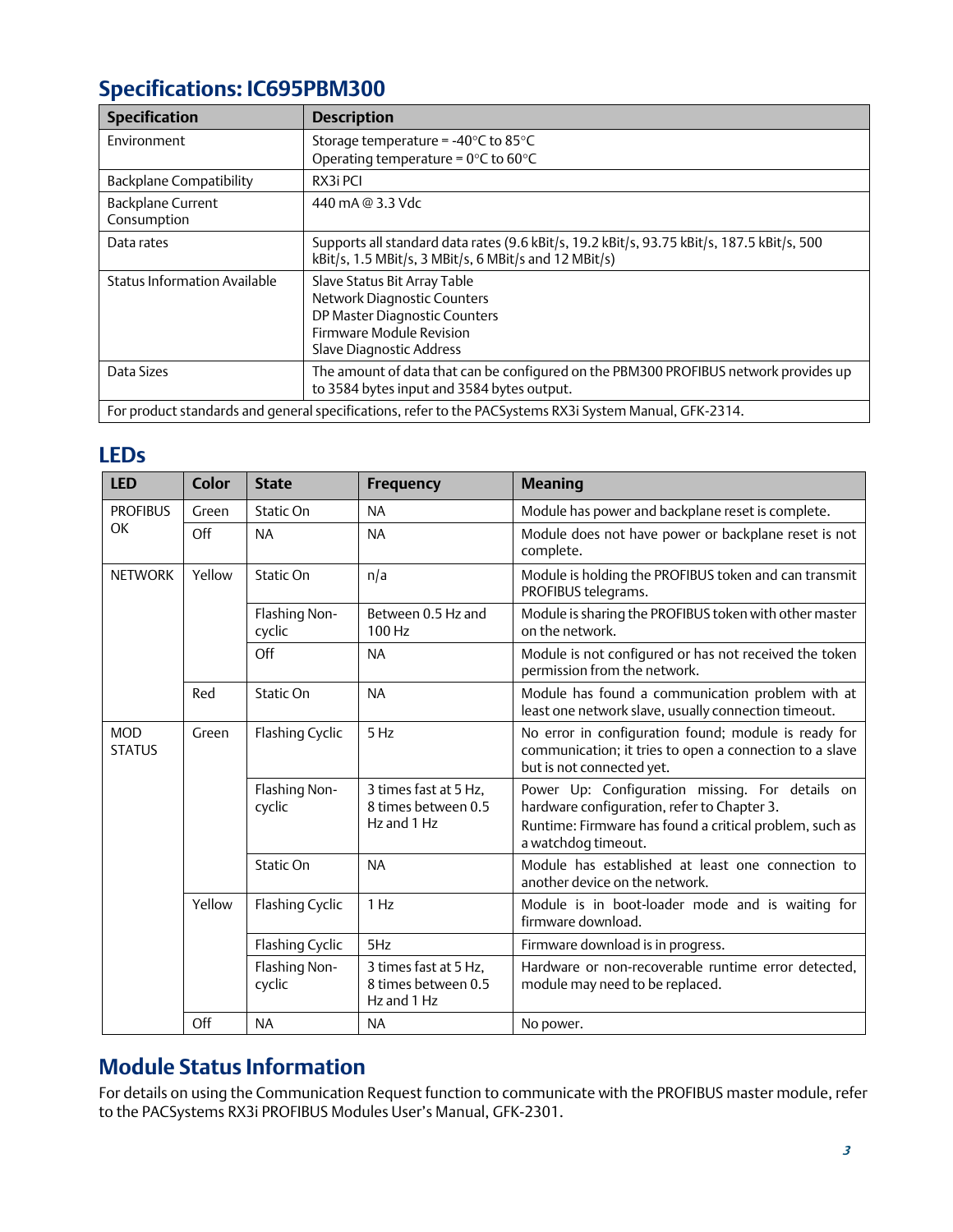# **Specifications: IC695PBM300**

| <b>Specification</b>                                                                                    | <b>Description</b>                                                                                                                                          |  |
|---------------------------------------------------------------------------------------------------------|-------------------------------------------------------------------------------------------------------------------------------------------------------------|--|
| Environment                                                                                             | Storage temperature = $-40^{\circ}$ C to 85 $^{\circ}$ C<br>Operating temperature = $0^{\circ}$ C to 60 $^{\circ}$ C                                        |  |
| <b>Backplane Compatibility</b>                                                                          | RX3i PCI                                                                                                                                                    |  |
| <b>Backplane Current</b><br>Consumption                                                                 | 440 mA @ 3.3 Vdc                                                                                                                                            |  |
| Data rates                                                                                              | Supports all standard data rates (9.6 kBit/s, 19.2 kBit/s, 93.75 kBit/s, 187.5 kBit/s, 500<br>kBit/s, 1.5 MBit/s, 3 MBit/s, 6 MBit/s and 12 MBit/s)         |  |
| Status Information Available                                                                            | Slave Status Bit Array Table<br>Network Diagnostic Counters<br>DP Master Diagnostic Counters<br><b>Firmware Module Revision</b><br>Slave Diagnostic Address |  |
| Data Sizes                                                                                              | The amount of data that can be configured on the PBM300 PROFIBUS network provides up<br>to 3584 bytes input and 3584 bytes output.                          |  |
| For product standards and general specifications, refer to the PACSystems RX3i System Manual, GFK-2314. |                                                                                                                                                             |  |

# **LEDs**

| <b>LED</b>                  | <b>Color</b> | <b>State</b>            | <b>Frequency</b>                                            | <b>Meaning</b>                                                                                                                                                                   |
|-----------------------------|--------------|-------------------------|-------------------------------------------------------------|----------------------------------------------------------------------------------------------------------------------------------------------------------------------------------|
| <b>PROFIBUS</b>             | Green        | Static On               | <b>NA</b>                                                   | Module has power and backplane reset is complete.                                                                                                                                |
| OK                          | Off          | <b>NA</b>               | <b>NA</b>                                                   | Module does not have power or backplane reset is not<br>complete.                                                                                                                |
| <b>NETWORK</b>              | Yellow       | Static On               | n/a                                                         | Module is holding the PROFIBUS token and can transmit<br>PROFIBUS telegrams.                                                                                                     |
|                             |              | Flashing Non-<br>cyclic | Between 0.5 Hz and<br>$100$ Hz                              | Module is sharing the PROFIBUS token with other master<br>on the network.                                                                                                        |
|                             |              | Off                     | <b>NA</b>                                                   | Module is not configured or has not received the token<br>permission from the network.                                                                                           |
|                             | Red          | Static On               | <b>NA</b>                                                   | Module has found a communication problem with at<br>least one network slave, usually connection timeout.                                                                         |
| <b>MOD</b><br><b>STATUS</b> | Green        | Flashing Cyclic         | 5 Hz                                                        | No error in configuration found; module is ready for<br>communication; it tries to open a connection to a slave<br>but is not connected yet.                                     |
|                             |              | Flashing Non-<br>cyclic | 3 times fast at 5 Hz,<br>8 times between 0.5<br>Hz and 1 Hz | Power Up: Configuration missing. For details on<br>hardware configuration, refer to Chapter 3.<br>Runtime: Firmware has found a critical problem, such as<br>a watchdog timeout. |
|                             |              | Static On               | <b>NA</b>                                                   | Module has established at least one connection to<br>another device on the network.                                                                                              |
|                             | Yellow       | Flashing Cyclic         | 1 Hz                                                        | Module is in boot-loader mode and is waiting for<br>firmware download.                                                                                                           |
|                             |              | Flashing Cyclic         | 5Hz                                                         | Firmware download is in progress.                                                                                                                                                |
|                             |              | Flashing Non-<br>cyclic | 3 times fast at 5 Hz,<br>8 times between 0.5<br>Hz and 1 Hz | Hardware or non-recoverable runtime error detected,<br>module may need to be replaced.                                                                                           |
|                             | Off          | <b>NA</b>               | <b>NA</b>                                                   | No power.                                                                                                                                                                        |

# **Module Status Information**

For details on using the Communication Request function to communicate with the PROFIBUS master module, refer to the PACSystems RX3i PROFIBUS Modules User's Manual, GFK-2301.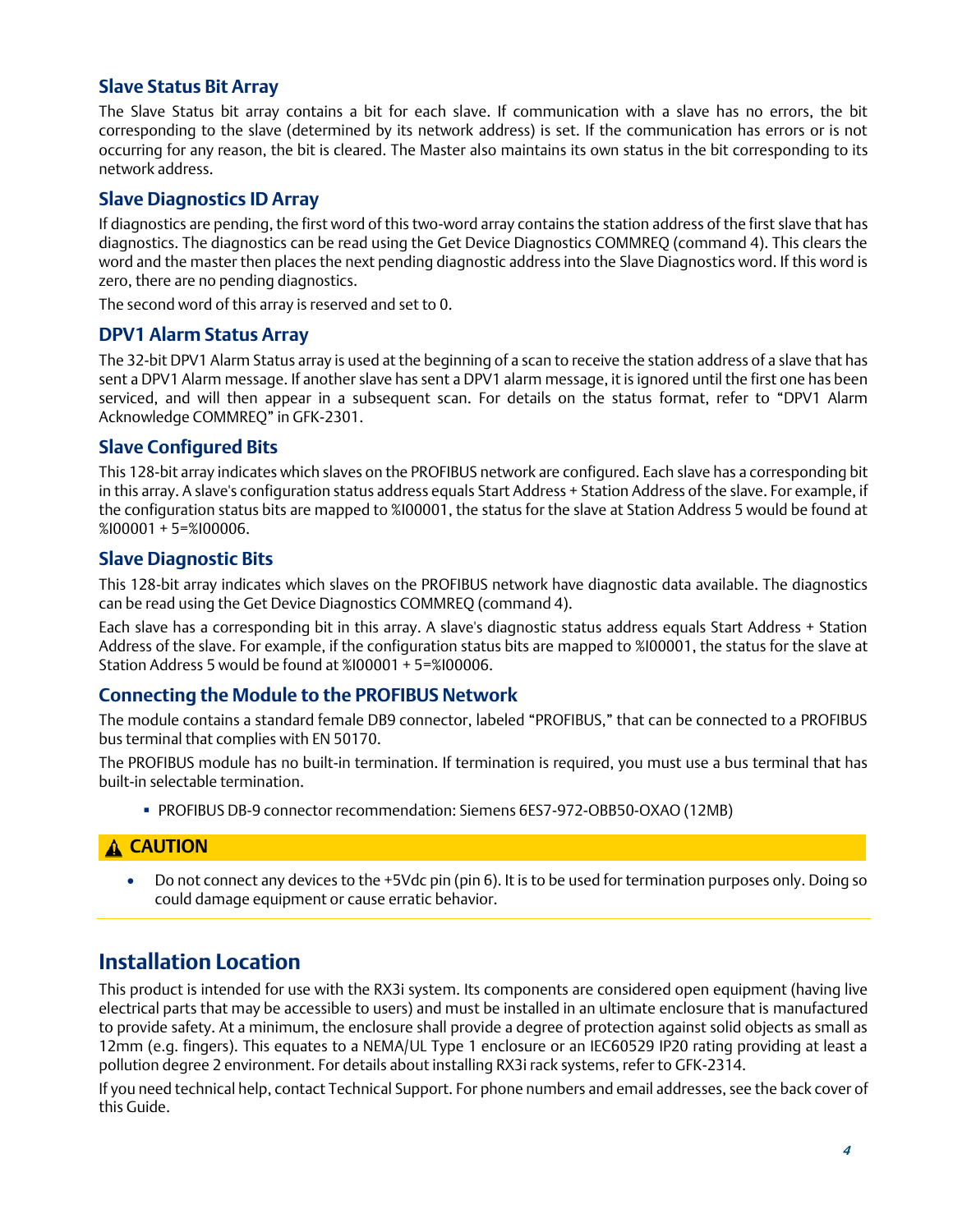#### **Slave Status Bit Array**

The Slave Status bit array contains a bit for each slave. If communication with a slave has no errors, the bit corresponding to the slave (determined by its network address) is set. If the communication has errors or is not occurring for any reason, the bit is cleared. The Master also maintains its own status in the bit corresponding to its network address.

#### **Slave Diagnostics ID Array**

If diagnostics are pending, the first word of this two-word array contains the station address of the first slave that has diagnostics. The diagnostics can be read using the Get Device Diagnostics COMMREQ (command 4). This clears the word and the master then places the next pending diagnostic address into the Slave Diagnostics word. If this word is zero, there are no pending diagnostics.

The second word of this array is reserved and set to 0.

#### **DPV1 Alarm Status Array**

The 32-bit DPV1 Alarm Status array is used at the beginning of a scan to receive the station address of a slave that has sent a DPV1 Alarm message. If another slave has sent a DPV1 alarm message, it is ignored until the first one has been serviced, and will then appear in a subsequent scan. For details on the status format, refer to "DPV1 Alarm Acknowledge COMMREQ" in GFK-2301.

#### **Slave Configured Bits**

This 128-bit array indicates which slaves on the PROFIBUS network are configured. Each slave has a corresponding bit in this array. A slave's configuration status address equals Start Address + Station Address of the slave. For example, if the configuration status bits are mapped to %I00001, the status for the slave at Station Address 5 would be found at %I00001 + 5=%I00006.

#### **Slave Diagnostic Bits**

This 128-bit array indicates which slaves on the PROFIBUS network have diagnostic data available. The diagnostics can be read using the Get Device Diagnostics COMMREQ (command 4).

Each slave has a corresponding bit in this array. A slave's diagnostic status address equals Start Address + Station Address of the slave. For example, if the configuration status bits are mapped to %I00001, the status for the slave at Station Address 5 would be found at %I00001 + 5=%I00006.

#### **Connecting the Module to the PROFIBUS Network**

The module contains a standard female DB9 connector, labeled "PROFIBUS," that can be connected to a PROFIBUS bus terminal that complies with EN 50170.

The PROFIBUS module has no built-in termination. If termination is required, you must use a bus terminal that has built-in selectable termination.

▪ PROFIBUS DB-9 connector recommendation: Siemens 6ES7-972-OBB50-OXAO (12MB)

### *1.* **CAUTION**

• Do not connect any devices to the +5Vdc pin (pin 6). It is to be used for termination purposes only. Doing so could damage equipment or cause erratic behavior.

# **Installation Location**

This product is intended for use with the RX3i system. Its components are considered open equipment (having live electrical parts that may be accessible to users) and must be installed in an ultimate enclosure that is manufactured to provide safety. At a minimum, the enclosure shall provide a degree of protection against solid objects as small as 12mm (e.g. fingers). This equates to a NEMA/UL Type 1 enclosure or an IEC60529 IP20 rating providing at least a pollution degree 2 environment. For details about installing RX3i rack systems, refer to GFK-2314.

If you need technical help, contact Technical Support. For phone numbers and email addresses, see the back cover of this Guide.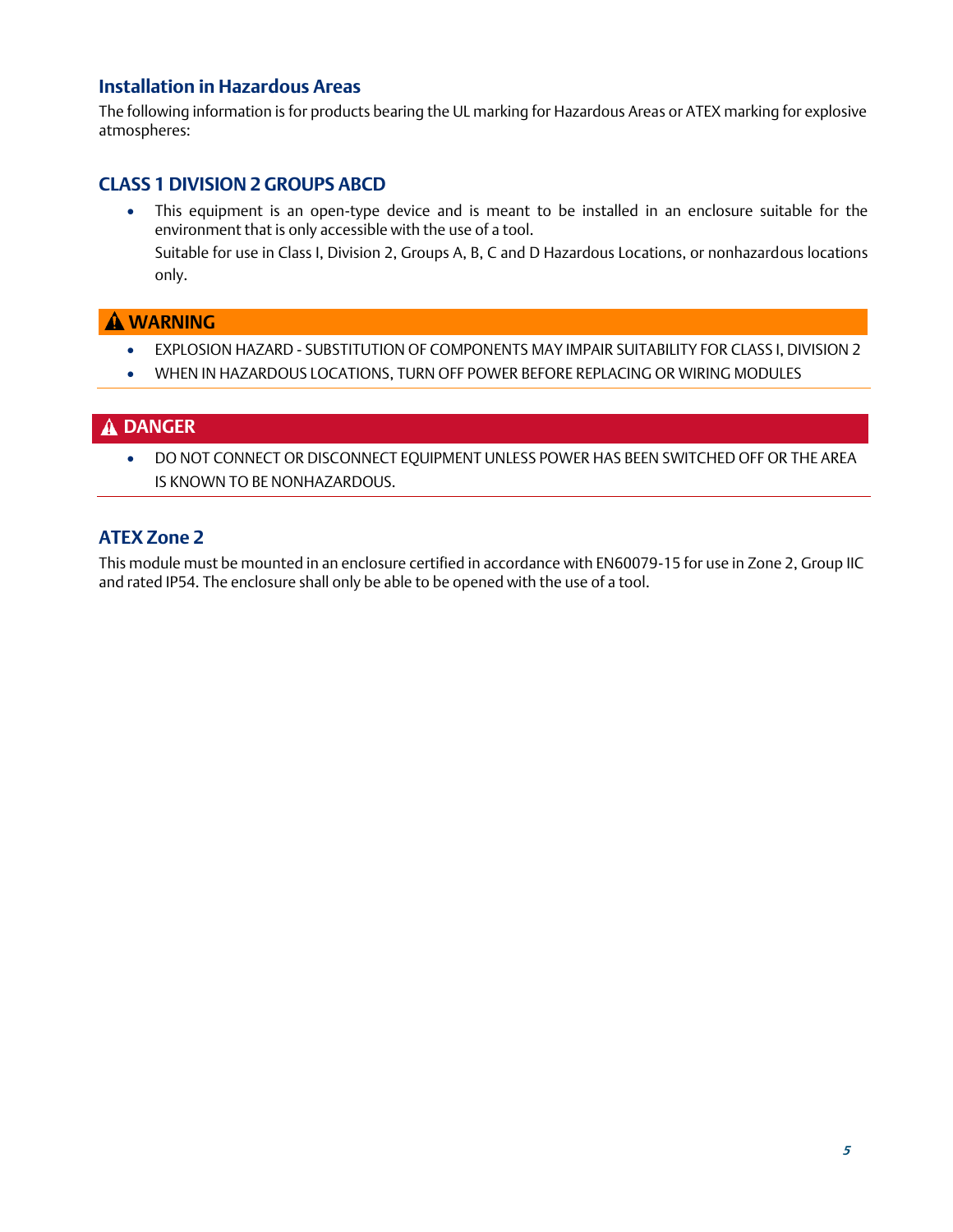#### **Installation in Hazardous Areas**

The following information is for products bearing the UL marking for Hazardous Areas or ATEX marking for explosive atmospheres:

#### **CLASS 1 DIVISION 2 GROUPS ABCD**

• This equipment is an open-type device and is meant to be installed in an enclosure suitable for the environment that is only accessible with the use of a tool.

Suitable for use in Class I, Division 2, Groups A, B, C and D Hazardous Locations, or nonhazardous locations only.

#### **WARNING**

- EXPLOSION HAZARD SUBSTITUTION OF COMPONENTS MAY IMPAIR SUITABILITY FOR CLASS I, DIVISION 2
- WHEN IN HAZARDOUS LOCATIONS, TURN OFF POWER BEFORE REPLACING OR WIRING MODULES

#### **DANGER**

• DO NOT CONNECT OR DISCONNECT EQUIPMENT UNLESS POWER HAS BEEN SWITCHED OFF OR THE AREA IS KNOWN TO BE NONHAZARDOUS.

#### **ATEX Zone 2**

This module must be mounted in an enclosure certified in accordance with EN60079-15 for use in Zone 2, Group IIC and rated IP54. The enclosure shall only be able to be opened with the use of a tool.